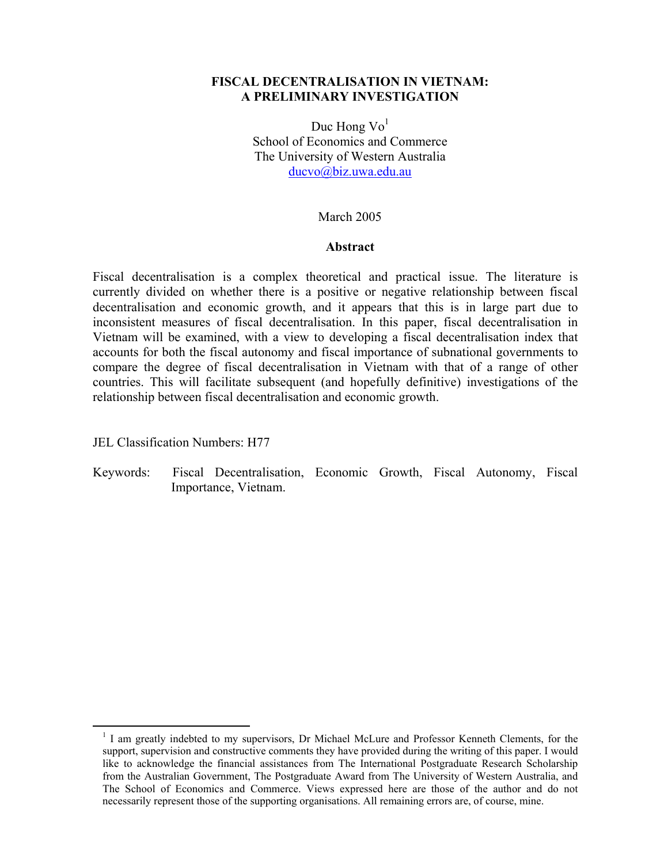# **FISCAL DECENTRALISATION IN VIETNAM: A PRELIMINARY INVESTIGATION**

Duc Hong  $Vo<sup>1</sup>$ School of Economics and Commerce The University of Western Australia ducvo@biz.uwa.edu.au

## March 2005

### **Abstract**

Fiscal decentralisation is a complex theoretical and practical issue. The literature is currently divided on whether there is a positive or negative relationship between fiscal decentralisation and economic growth, and it appears that this is in large part due to inconsistent measures of fiscal decentralisation. In this paper, fiscal decentralisation in Vietnam will be examined, with a view to developing a fiscal decentralisation index that accounts for both the fiscal autonomy and fiscal importance of subnational governments to compare the degree of fiscal decentralisation in Vietnam with that of a range of other countries. This will facilitate subsequent (and hopefully definitive) investigations of the relationship between fiscal decentralisation and economic growth.

JEL Classification Numbers: H77

Keywords: Fiscal Decentralisation, Economic Growth, Fiscal Autonomy, Fiscal Importance, Vietnam.

<sup>&</sup>lt;sup>1</sup> I am greatly indebted to my supervisors, Dr Michael McLure and Professor Kenneth Clements, for the support, supervision and constructive comments they have provided during the writing of this paper. I would like to acknowledge the financial assistances from The International Postgraduate Research Scholarship from the Australian Government, The Postgraduate Award from The University of Western Australia, and The School of Economics and Commerce. Views expressed here are those of the author and do not necessarily represent those of the supporting organisations. All remaining errors are, of course, mine.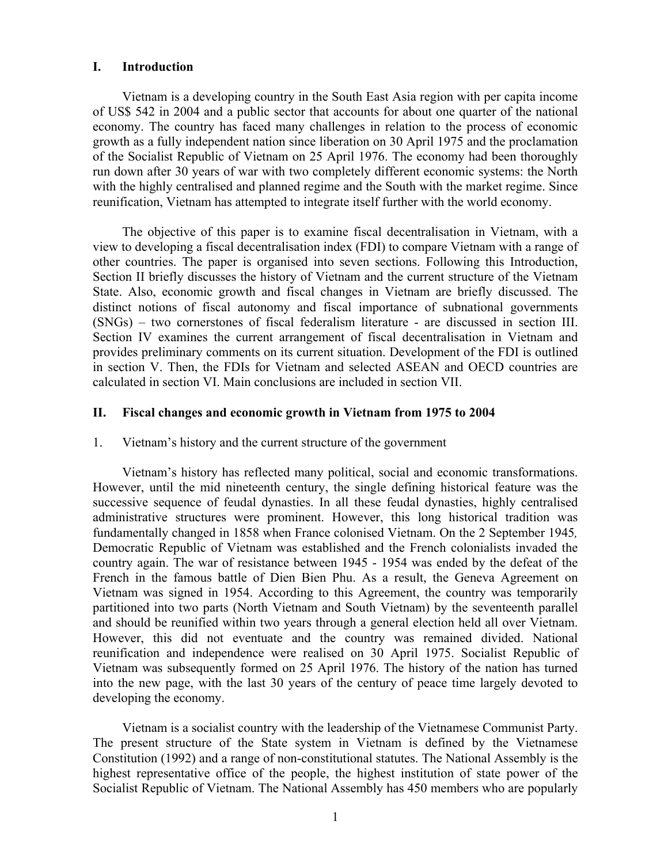## **I. Introduction**

Vietnam is a developing country in the South East Asia region with per capita income of US\$ 542 in 2004 and a public sector that accounts for about one quarter of the national economy. The country has faced many challenges in relation to the process of economic growth as a fully independent nation since liberation on 30 April 1975 and the proclamation of the Socialist Republic of Vietnam on 25 April 1976. The economy had been thoroughly run down after 30 years of war with two completely different economic systems: the North with the highly centralised and planned regime and the South with the market regime. Since reunification, Vietnam has attempted to integrate itself further with the world economy.

The objective of this paper is to examine fiscal decentralisation in Vietnam, with a view to developing a fiscal decentralisation index (FDI) to compare Vietnam with a range of other countries. The paper is organised into seven sections. Following this Introduction, Section II briefly discusses the history of Vietnam and the current structure of the Vietnam State. Also, economic growth and fiscal changes in Vietnam are briefly discussed. The distinct notions of fiscal autonomy and fiscal importance of subnational governments (SNGs) – two cornerstones of fiscal federalism literature - are discussed in section III. Section IV examines the current arrangement of fiscal decentralisation in Vietnam and provides preliminary comments on its current situation. Development of the FDI is outlined in section V. Then, the FDIs for Vietnam and selected ASEAN and OECD countries are calculated in section VI. Main conclusions are included in section VII.

# **II. Fiscal changes and economic growth in Vietnam from 1975 to 2004**

1. Vietnam's history and the current structure of the government

Vietnam's history has reflected many political, social and economic transformations. However, until the mid nineteenth century, the single defining historical feature was the successive sequence of feudal dynasties. In all these feudal dynasties, highly centralised administrative structures were prominent. However, this long historical tradition was fundamentally changed in 1858 when France colonised Vietnam. On the 2 September 1945*,*  Democratic Republic of Vietnam was established and the French colonialists invaded the country again. The war of resistance between 1945 - 1954 was ended by the defeat of the French in the famous battle of Dien Bien Phu. As a result, the Geneva Agreement on Vietnam was signed in 1954. According to this Agreement, the country was temporarily partitioned into two parts (North Vietnam and South Vietnam) by the seventeenth parallel and should be reunified within two years through a general election held all over Vietnam. However, this did not eventuate and the country was remained divided. National reunification and independence were realised on 30 April 1975. Socialist Republic of Vietnam was subsequently formed on 25 April 1976. The history of the nation has turned into the new page, with the last 30 years of the century of peace time largely devoted to developing the economy.

Vietnam is a socialist country with the leadership of the Vietnamese Communist Party. The present structure of the State system in Vietnam is defined by the Vietnamese Constitution (1992) and a range of non-constitutional statutes. The National Assembly is the highest representative office of the people, the highest institution of state power of the Socialist Republic of Vietnam. The National Assembly has 450 members who are popularly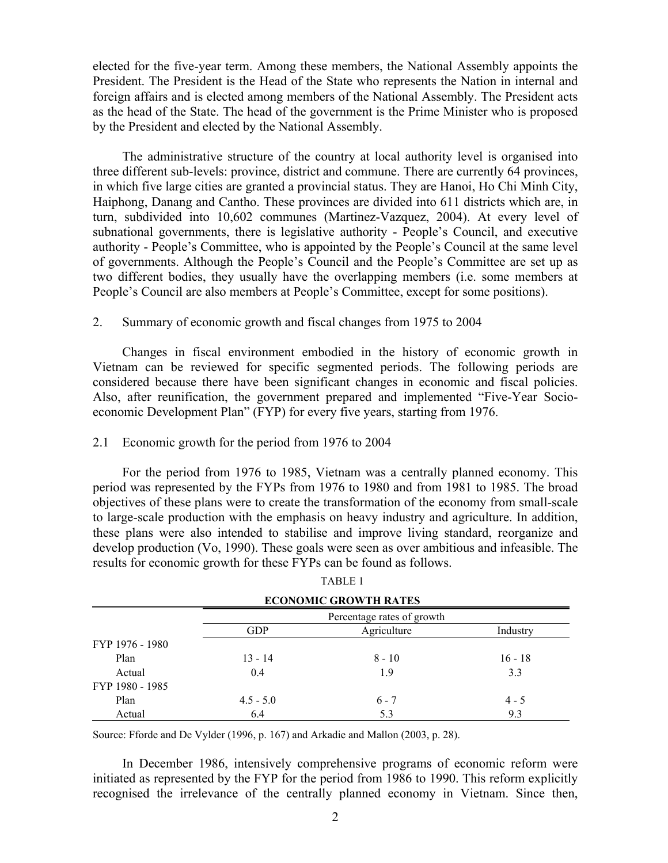elected for the five-year term. Among these members, the National Assembly appoints the President. The President is the Head of the State who represents the Nation in internal and foreign affairs and is elected among members of the National Assembly. The President acts as the head of the State. The head of the government is the Prime Minister who is proposed by the President and elected by the National Assembly.

The administrative structure of the country at local authority level is organised into three different sub-levels: province, district and commune. There are currently 64 provinces, in which five large cities are granted a provincial status. They are Hanoi, Ho Chi Minh City, Haiphong, Danang and Cantho. These provinces are divided into 611 districts which are, in turn, subdivided into 10,602 communes (Martinez-Vazquez, 2004). At every level of subnational governments, there is legislative authority - People's Council, and executive authority - People's Committee, who is appointed by the People's Council at the same level of governments. Although the People's Council and the People's Committee are set up as two different bodies, they usually have the overlapping members (i.e. some members at People's Council are also members at People's Committee, except for some positions).

## 2. Summary of economic growth and fiscal changes from 1975 to 2004

Changes in fiscal environment embodied in the history of economic growth in Vietnam can be reviewed for specific segmented periods. The following periods are considered because there have been significant changes in economic and fiscal policies. Also, after reunification, the government prepared and implemented "Five-Year Socioeconomic Development Plan" (FYP) for every five years, starting from 1976.

### 2.1 Economic growth for the period from 1976 to 2004

For the period from 1976 to 1985, Vietnam was a centrally planned economy. This period was represented by the FYPs from 1976 to 1980 and from 1981 to 1985. The broad objectives of these plans were to create the transformation of the economy from small-scale to large-scale production with the emphasis on heavy industry and agriculture. In addition, these plans were also intended to stabilise and improve living standard, reorganize and develop production (Vo, 1990). These goals were seen as over ambitious and infeasible. The results for economic growth for these FYPs can be found as follows.

|                 |             | <b>ECONOMIC GROWTH RATES</b> |           |
|-----------------|-------------|------------------------------|-----------|
|                 |             | Percentage rates of growth   |           |
|                 | <b>GDP</b>  | Agriculture                  | Industry  |
| FYP 1976 - 1980 |             |                              |           |
| Plan            | $13 - 14$   | $8 - 10$                     | $16 - 18$ |
| Actual          | 0.4         | 1.9                          | 3.3       |
| FYP 1980 - 1985 |             |                              |           |
| Plan            | $4.5 - 5.0$ | $6 - 7$                      | $4 - 5$   |
| Actual          | 6.4         | 5.3                          | 9.3       |

|  | TABLE 1 |
|--|---------|
|--|---------|

Source: Fforde and De Vylder (1996, p. 167) and Arkadie and Mallon (2003, p. 28).

In December 1986, intensively comprehensive programs of economic reform were initiated as represented by the FYP for the period from 1986 to 1990. This reform explicitly recognised the irrelevance of the centrally planned economy in Vietnam. Since then,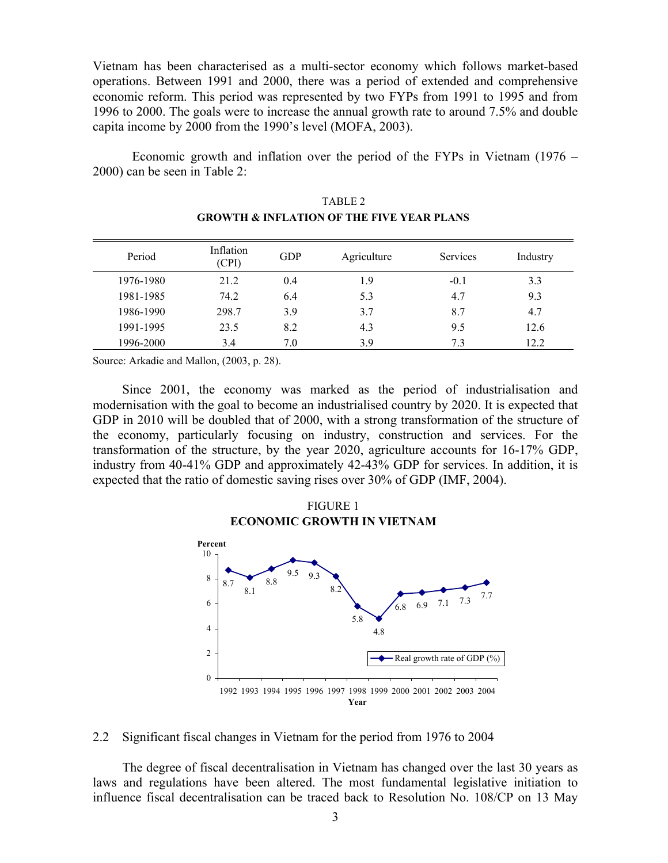Vietnam has been characterised as a multi-sector economy which follows market-based operations. Between 1991 and 2000, there was a period of extended and comprehensive economic reform. This period was represented by two FYPs from 1991 to 1995 and from 1996 to 2000. The goals were to increase the annual growth rate to around 7.5% and double capita income by 2000 from the 1990's level (MOFA, 2003).

 Economic growth and inflation over the period of the FYPs in Vietnam (1976 – 2000) can be seen in Table 2:

| Period    | Inflation<br>(CPI) | <b>GDP</b> | Agriculture | <b>Services</b> | Industry |
|-----------|--------------------|------------|-------------|-----------------|----------|
| 1976-1980 | 21.2               | 0.4        | 1.9         | $-0.1$          | 3.3      |
| 1981-1985 | 74.2               | 6.4        | 5.3         | 4.7             | 9.3      |
| 1986-1990 | 298.7              | 3.9        | 3.7         | 8.7             | 4.7      |
| 1991-1995 | 23.5               | 8.2        | 4.3         | 9.5             | 12.6     |
| 1996-2000 | 3.4                | 7.0        | 3.9         | 7.3             | 12.2     |

|                                                      | TABLE 2 |
|------------------------------------------------------|---------|
| <b>GROWTH &amp; INFLATION OF THE FIVE YEAR PLANS</b> |         |

Source: Arkadie and Mallon, (2003, p. 28).

Since 2001, the economy was marked as the period of industrialisation and modernisation with the goal to become an industrialised country by 2020. It is expected that GDP in 2010 will be doubled that of 2000, with a strong transformation of the structure of the economy, particularly focusing on industry, construction and services. For the transformation of the structure, by the year 2020, agriculture accounts for 16-17% GDP, industry from 40-41% GDP and approximately 42-43% GDP for services. In addition, it is expected that the ratio of domestic saving rises over 30% of GDP (IMF, 2004).





### 2.2 Significant fiscal changes in Vietnam for the period from 1976 to 2004

The degree of fiscal decentralisation in Vietnam has changed over the last 30 years as laws and regulations have been altered. The most fundamental legislative initiation to influence fiscal decentralisation can be traced back to Resolution No. 108/CP on 13 May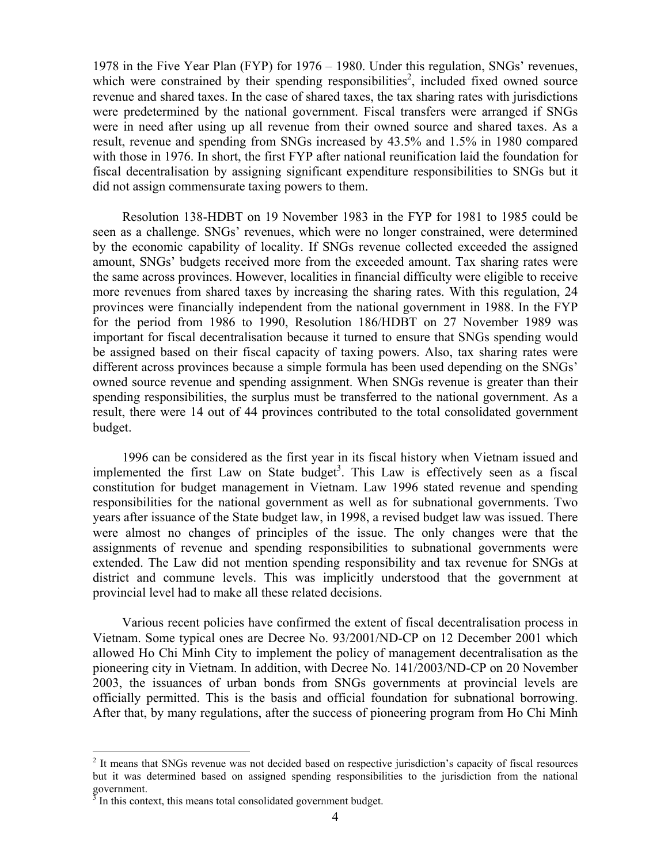1978 in the Five Year Plan (FYP) for 1976 – 1980. Under this regulation, SNGs' revenues, which were constrained by their spending responsibilities<sup>2</sup>, included fixed owned source revenue and shared taxes. In the case of shared taxes, the tax sharing rates with jurisdictions were predetermined by the national government. Fiscal transfers were arranged if SNGs were in need after using up all revenue from their owned source and shared taxes. As a result, revenue and spending from SNGs increased by 43.5% and 1.5% in 1980 compared with those in 1976. In short, the first FYP after national reunification laid the foundation for fiscal decentralisation by assigning significant expenditure responsibilities to SNGs but it did not assign commensurate taxing powers to them.

Resolution 138-HDBT on 19 November 1983 in the FYP for 1981 to 1985 could be seen as a challenge. SNGs' revenues, which were no longer constrained, were determined by the economic capability of locality. If SNGs revenue collected exceeded the assigned amount, SNGs' budgets received more from the exceeded amount. Tax sharing rates were the same across provinces. However, localities in financial difficulty were eligible to receive more revenues from shared taxes by increasing the sharing rates. With this regulation, 24 provinces were financially independent from the national government in 1988. In the FYP for the period from 1986 to 1990, Resolution 186/HDBT on 27 November 1989 was important for fiscal decentralisation because it turned to ensure that SNGs spending would be assigned based on their fiscal capacity of taxing powers. Also, tax sharing rates were different across provinces because a simple formula has been used depending on the SNGs' owned source revenue and spending assignment. When SNGs revenue is greater than their spending responsibilities, the surplus must be transferred to the national government. As a result, there were 14 out of 44 provinces contributed to the total consolidated government budget.

1996 can be considered as the first year in its fiscal history when Vietnam issued and implemented the first Law on State budget<sup>3</sup>. This Law is effectively seen as a fiscal constitution for budget management in Vietnam. Law 1996 stated revenue and spending responsibilities for the national government as well as for subnational governments. Two years after issuance of the State budget law, in 1998, a revised budget law was issued. There were almost no changes of principles of the issue. The only changes were that the assignments of revenue and spending responsibilities to subnational governments were extended. The Law did not mention spending responsibility and tax revenue for SNGs at district and commune levels. This was implicitly understood that the government at provincial level had to make all these related decisions.

Various recent policies have confirmed the extent of fiscal decentralisation process in Vietnam. Some typical ones are Decree No. 93/2001/ND-CP on 12 December 2001 which allowed Ho Chi Minh City to implement the policy of management decentralisation as the pioneering city in Vietnam. In addition, with Decree No. 141/2003/ND-CP on 20 November 2003, the issuances of urban bonds from SNGs governments at provincial levels are officially permitted. This is the basis and official foundation for subnational borrowing. After that, by many regulations, after the success of pioneering program from Ho Chi Minh

<u>.</u>

<sup>&</sup>lt;sup>2</sup> It means that SNGs revenue was not decided based on respective jurisdiction's capacity of fiscal resources but it was determined based on assigned spending responsibilities to the jurisdiction from the national government.<br> $3 \text{ In this context}$ 

In this context, this means total consolidated government budget.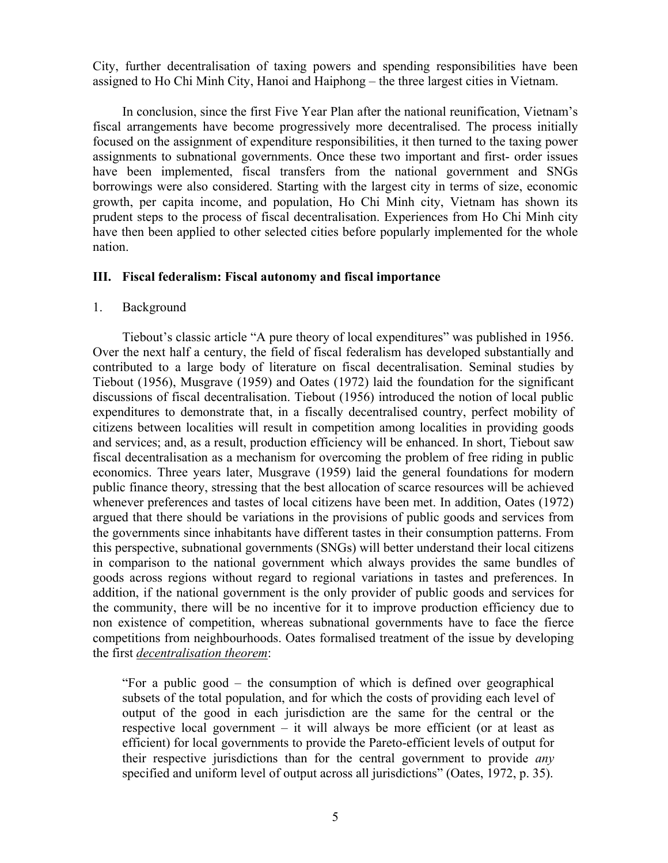City, further decentralisation of taxing powers and spending responsibilities have been assigned to Ho Chi Minh City, Hanoi and Haiphong – the three largest cities in Vietnam.

In conclusion, since the first Five Year Plan after the national reunification, Vietnam's fiscal arrangements have become progressively more decentralised. The process initially focused on the assignment of expenditure responsibilities, it then turned to the taxing power assignments to subnational governments. Once these two important and first- order issues have been implemented, fiscal transfers from the national government and SNGs borrowings were also considered. Starting with the largest city in terms of size, economic growth, per capita income, and population, Ho Chi Minh city, Vietnam has shown its prudent steps to the process of fiscal decentralisation. Experiences from Ho Chi Minh city have then been applied to other selected cities before popularly implemented for the whole nation.

# **III. Fiscal federalism: Fiscal autonomy and fiscal importance**

## 1. Background

Tiebout's classic article "A pure theory of local expenditures" was published in 1956. Over the next half a century, the field of fiscal federalism has developed substantially and contributed to a large body of literature on fiscal decentralisation. Seminal studies by Tiebout (1956), Musgrave (1959) and Oates (1972) laid the foundation for the significant discussions of fiscal decentralisation. Tiebout (1956) introduced the notion of local public expenditures to demonstrate that, in a fiscally decentralised country, perfect mobility of citizens between localities will result in competition among localities in providing goods and services; and, as a result, production efficiency will be enhanced. In short, Tiebout saw fiscal decentralisation as a mechanism for overcoming the problem of free riding in public economics. Three years later, Musgrave (1959) laid the general foundations for modern public finance theory, stressing that the best allocation of scarce resources will be achieved whenever preferences and tastes of local citizens have been met. In addition, Oates (1972) argued that there should be variations in the provisions of public goods and services from the governments since inhabitants have different tastes in their consumption patterns. From this perspective, subnational governments (SNGs) will better understand their local citizens in comparison to the national government which always provides the same bundles of goods across regions without regard to regional variations in tastes and preferences. In addition, if the national government is the only provider of public goods and services for the community, there will be no incentive for it to improve production efficiency due to non existence of competition, whereas subnational governments have to face the fierce competitions from neighbourhoods. Oates formalised treatment of the issue by developing the first *decentralisation theorem*:

"For a public good – the consumption of which is defined over geographical subsets of the total population, and for which the costs of providing each level of output of the good in each jurisdiction are the same for the central or the respective local government – it will always be more efficient (or at least as efficient) for local governments to provide the Pareto-efficient levels of output for their respective jurisdictions than for the central government to provide *any* specified and uniform level of output across all jurisdictions" (Oates, 1972, p. 35).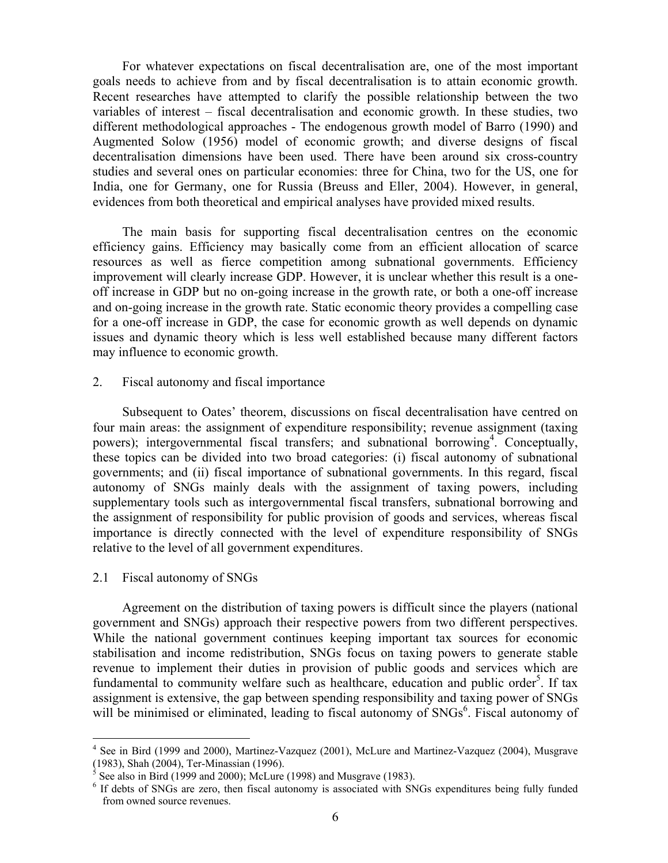For whatever expectations on fiscal decentralisation are, one of the most important goals needs to achieve from and by fiscal decentralisation is to attain economic growth. Recent researches have attempted to clarify the possible relationship between the two variables of interest – fiscal decentralisation and economic growth. In these studies, two different methodological approaches - The endogenous growth model of Barro (1990) and Augmented Solow (1956) model of economic growth; and diverse designs of fiscal decentralisation dimensions have been used. There have been around six cross-country studies and several ones on particular economies: three for China, two for the US, one for India, one for Germany, one for Russia (Breuss and Eller, 2004). However, in general, evidences from both theoretical and empirical analyses have provided mixed results.

The main basis for supporting fiscal decentralisation centres on the economic efficiency gains. Efficiency may basically come from an efficient allocation of scarce resources as well as fierce competition among subnational governments. Efficiency improvement will clearly increase GDP. However, it is unclear whether this result is a oneoff increase in GDP but no on-going increase in the growth rate, or both a one-off increase and on-going increase in the growth rate. Static economic theory provides a compelling case for a one-off increase in GDP, the case for economic growth as well depends on dynamic issues and dynamic theory which is less well established because many different factors may influence to economic growth.

2. Fiscal autonomy and fiscal importance

Subsequent to Oates' theorem, discussions on fiscal decentralisation have centred on four main areas: the assignment of expenditure responsibility; revenue assignment (taxing powers); intergovernmental fiscal transfers; and subnational borrowing<sup>4</sup>. Conceptually, these topics can be divided into two broad categories: (i) fiscal autonomy of subnational governments; and (ii) fiscal importance of subnational governments. In this regard, fiscal autonomy of SNGs mainly deals with the assignment of taxing powers, including supplementary tools such as intergovernmental fiscal transfers, subnational borrowing and the assignment of responsibility for public provision of goods and services, whereas fiscal importance is directly connected with the level of expenditure responsibility of SNGs relative to the level of all government expenditures.

2.1 Fiscal autonomy of SNGs

1

Agreement on the distribution of taxing powers is difficult since the players (national government and SNGs) approach their respective powers from two different perspectives. While the national government continues keeping important tax sources for economic stabilisation and income redistribution, SNGs focus on taxing powers to generate stable revenue to implement their duties in provision of public goods and services which are fundamental to community welfare such as healthcare, education and public order<sup>5</sup>. If tax assignment is extensive, the gap between spending responsibility and taxing power of SNGs will be minimised or eliminated, leading to fiscal autonomy of SNGs<sup>6</sup>. Fiscal autonomy of

<sup>&</sup>lt;sup>4</sup> See in Bird (1999 and 2000), Martinez-Vazquez (2001), McLure and Martinez-Vazquez (2004), Musgrave (1983), Shah (2004), Ter-Minassian (1996).

<sup>5</sup> See also in Bird (1999 and 2000); McLure (1998) and Musgrave (1983).

<sup>&</sup>lt;sup>6</sup> If debts of SNGs are zero, then fiscal autonomy is associated with SNGs expenditures being fully funded from owned source revenues.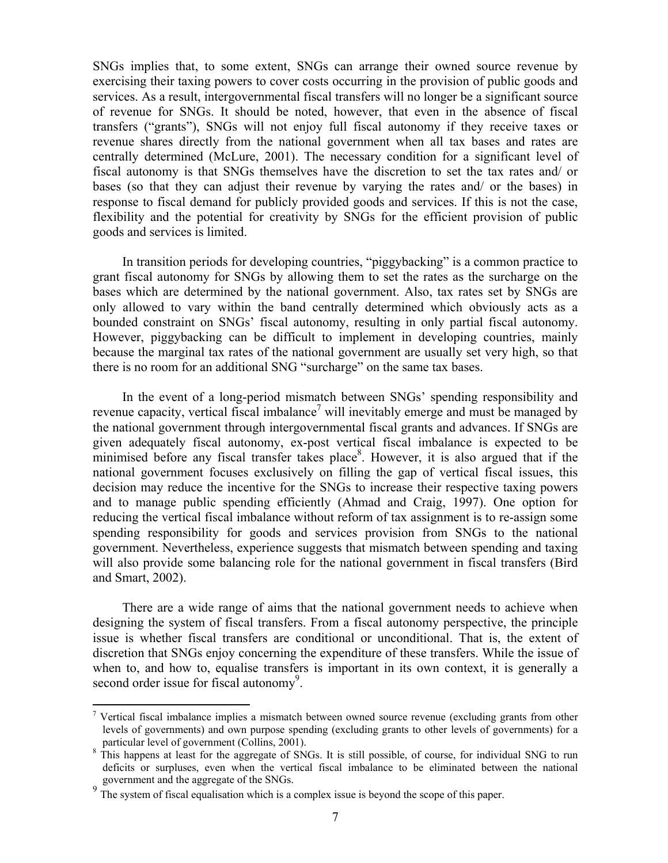SNGs implies that, to some extent, SNGs can arrange their owned source revenue by exercising their taxing powers to cover costs occurring in the provision of public goods and services. As a result, intergovernmental fiscal transfers will no longer be a significant source of revenue for SNGs. It should be noted, however, that even in the absence of fiscal transfers ("grants"), SNGs will not enjoy full fiscal autonomy if they receive taxes or revenue shares directly from the national government when all tax bases and rates are centrally determined (McLure, 2001). The necessary condition for a significant level of fiscal autonomy is that SNGs themselves have the discretion to set the tax rates and/ or bases (so that they can adjust their revenue by varying the rates and/ or the bases) in response to fiscal demand for publicly provided goods and services. If this is not the case, flexibility and the potential for creativity by SNGs for the efficient provision of public goods and services is limited.

In transition periods for developing countries, "piggybacking" is a common practice to grant fiscal autonomy for SNGs by allowing them to set the rates as the surcharge on the bases which are determined by the national government. Also, tax rates set by SNGs are only allowed to vary within the band centrally determined which obviously acts as a bounded constraint on SNGs' fiscal autonomy, resulting in only partial fiscal autonomy. However, piggybacking can be difficult to implement in developing countries, mainly because the marginal tax rates of the national government are usually set very high, so that there is no room for an additional SNG "surcharge" on the same tax bases.

In the event of a long-period mismatch between SNGs' spending responsibility and revenue capacity, vertical fiscal imbalance<sup>7</sup> will inevitably emerge and must be managed by the national government through intergovernmental fiscal grants and advances. If SNGs are given adequately fiscal autonomy, ex-post vertical fiscal imbalance is expected to be minimised before any fiscal transfer takes place<sup>8</sup>. However, it is also argued that if the national government focuses exclusively on filling the gap of vertical fiscal issues, this decision may reduce the incentive for the SNGs to increase their respective taxing powers and to manage public spending efficiently (Ahmad and Craig, 1997). One option for reducing the vertical fiscal imbalance without reform of tax assignment is to re-assign some spending responsibility for goods and services provision from SNGs to the national government. Nevertheless, experience suggests that mismatch between spending and taxing will also provide some balancing role for the national government in fiscal transfers (Bird and Smart, 2002).

There are a wide range of aims that the national government needs to achieve when designing the system of fiscal transfers. From a fiscal autonomy perspective, the principle issue is whether fiscal transfers are conditional or unconditional. That is, the extent of discretion that SNGs enjoy concerning the expenditure of these transfers. While the issue of when to, and how to, equalise transfers is important in its own context, it is generally a second order issue for fiscal autonomy<sup>9</sup>.

1

<sup>&</sup>lt;sup>7</sup> Vertical fiscal imbalance implies a mismatch between owned source revenue (excluding grants from other levels of governments) and own purpose spending (excluding grants to other levels of governments) for a particular level of government (Collins, 2001).

This happens at least for the aggregate of SNGs. It is still possible, of course, for individual SNG to run deficits or surpluses, even when the vertical fiscal imbalance to be eliminated between the national government and the aggregate of the SNGs.

The system of fiscal equalisation which is a complex issue is beyond the scope of this paper.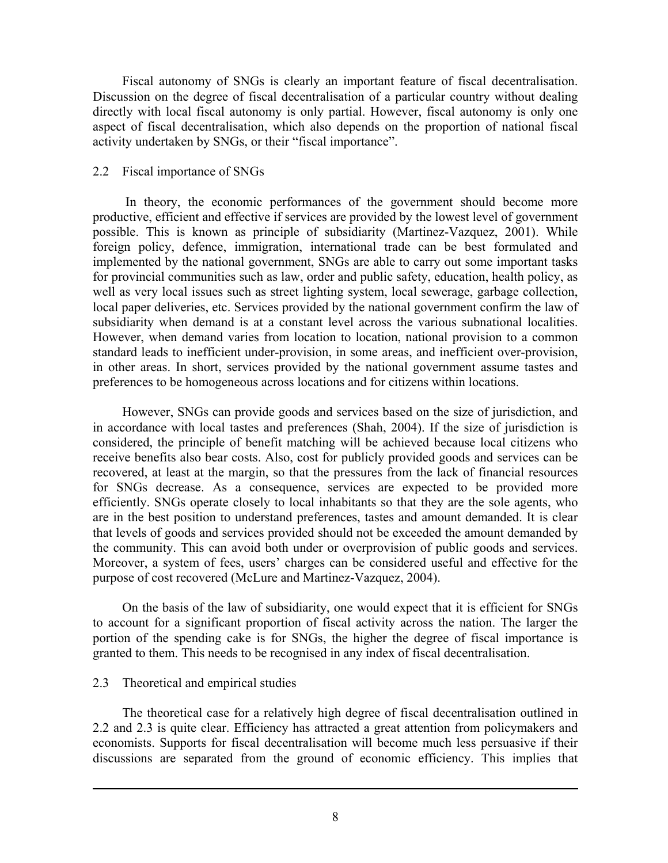Fiscal autonomy of SNGs is clearly an important feature of fiscal decentralisation. Discussion on the degree of fiscal decentralisation of a particular country without dealing directly with local fiscal autonomy is only partial. However, fiscal autonomy is only one aspect of fiscal decentralisation, which also depends on the proportion of national fiscal activity undertaken by SNGs, or their "fiscal importance".

## 2.2 Fiscal importance of SNGs

 In theory, the economic performances of the government should become more productive, efficient and effective if services are provided by the lowest level of government possible. This is known as principle of subsidiarity (Martinez-Vazquez, 2001). While foreign policy, defence, immigration, international trade can be best formulated and implemented by the national government, SNGs are able to carry out some important tasks for provincial communities such as law, order and public safety, education, health policy, as well as very local issues such as street lighting system, local sewerage, garbage collection, local paper deliveries, etc. Services provided by the national government confirm the law of subsidiarity when demand is at a constant level across the various subnational localities. However, when demand varies from location to location, national provision to a common standard leads to inefficient under-provision, in some areas, and inefficient over-provision, in other areas. In short, services provided by the national government assume tastes and preferences to be homogeneous across locations and for citizens within locations.

However, SNGs can provide goods and services based on the size of jurisdiction, and in accordance with local tastes and preferences (Shah, 2004). If the size of jurisdiction is considered, the principle of benefit matching will be achieved because local citizens who receive benefits also bear costs. Also, cost for publicly provided goods and services can be recovered, at least at the margin, so that the pressures from the lack of financial resources for SNGs decrease. As a consequence, services are expected to be provided more efficiently. SNGs operate closely to local inhabitants so that they are the sole agents, who are in the best position to understand preferences, tastes and amount demanded. It is clear that levels of goods and services provided should not be exceeded the amount demanded by the community. This can avoid both under or overprovision of public goods and services. Moreover, a system of fees, users' charges can be considered useful and effective for the purpose of cost recovered (McLure and Martinez-Vazquez, 2004).

On the basis of the law of subsidiarity, one would expect that it is efficient for SNGs to account for a significant proportion of fiscal activity across the nation. The larger the portion of the spending cake is for SNGs, the higher the degree of fiscal importance is granted to them. This needs to be recognised in any index of fiscal decentralisation.

# 2.3 Theoretical and empirical studies

 $\overline{a}$ 

 The theoretical case for a relatively high degree of fiscal decentralisation outlined in 2.2 and 2.3 is quite clear. Efficiency has attracted a great attention from policymakers and economists. Supports for fiscal decentralisation will become much less persuasive if their discussions are separated from the ground of economic efficiency. This implies that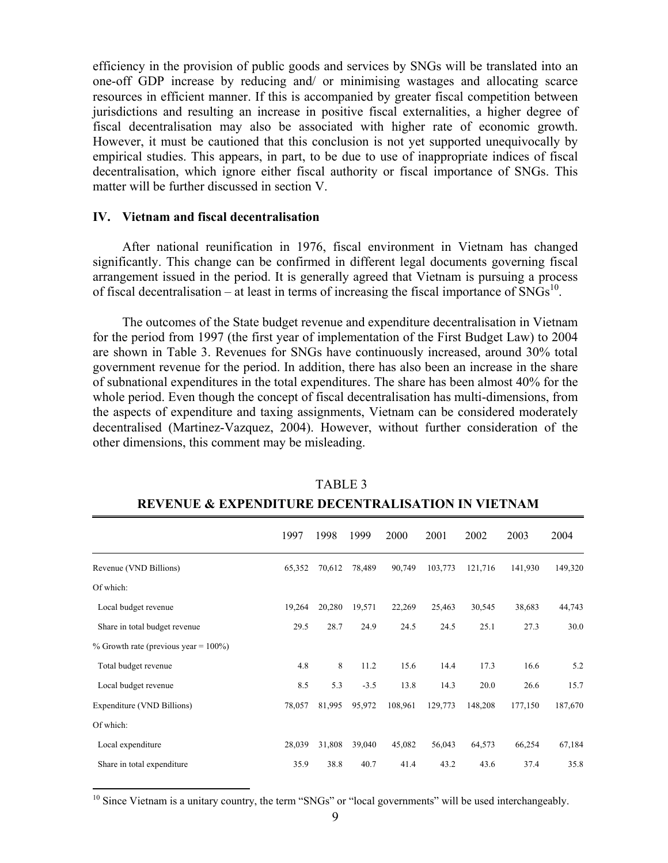efficiency in the provision of public goods and services by SNGs will be translated into an one-off GDP increase by reducing and/ or minimising wastages and allocating scarce resources in efficient manner. If this is accompanied by greater fiscal competition between jurisdictions and resulting an increase in positive fiscal externalities, a higher degree of fiscal decentralisation may also be associated with higher rate of economic growth. However, it must be cautioned that this conclusion is not yet supported unequivocally by empirical studies. This appears, in part, to be due to use of inappropriate indices of fiscal decentralisation, which ignore either fiscal authority or fiscal importance of SNGs. This matter will be further discussed in section V.

### **IV. Vietnam and fiscal decentralisation**

<u>.</u>

After national reunification in 1976, fiscal environment in Vietnam has changed significantly. This change can be confirmed in different legal documents governing fiscal arrangement issued in the period. It is generally agreed that Vietnam is pursuing a process of fiscal decentralisation – at least in terms of increasing the fiscal importance of  $SNGs<sup>10</sup>$ .

The outcomes of the State budget revenue and expenditure decentralisation in Vietnam for the period from 1997 (the first year of implementation of the First Budget Law) to 2004 are shown in Table 3. Revenues for SNGs have continuously increased, around 30% total government revenue for the period. In addition, there has also been an increase in the share of subnational expenditures in the total expenditures. The share has been almost 40% for the whole period. Even though the concept of fiscal decentralisation has multi-dimensions, from the aspects of expenditure and taxing assignments, Vietnam can be considered moderately decentralised (Martinez-Vazquez, 2004). However, without further consideration of the other dimensions, this comment may be misleading.

|                                          | 1997   | 1998   | 1999   | 2000    | 2001    | 2002    | 2003    | 2004    |
|------------------------------------------|--------|--------|--------|---------|---------|---------|---------|---------|
| Revenue (VND Billions)                   | 65,352 | 70,612 | 78,489 | 90,749  | 103,773 | 121,716 | 141,930 | 149,320 |
| Of which:                                |        |        |        |         |         |         |         |         |
| Local budget revenue                     | 19,264 | 20,280 | 19,571 | 22,269  | 25,463  | 30,545  | 38,683  | 44,743  |
| Share in total budget revenue            | 29.5   | 28.7   | 24.9   | 24.5    | 24.5    | 25.1    | 27.3    | 30.0    |
| % Growth rate (previous year = $100\%$ ) |        |        |        |         |         |         |         |         |
| Total budget revenue                     | 4.8    | 8      | 11.2   | 15.6    | 14.4    | 17.3    | 16.6    | 5.2     |
| Local budget revenue                     | 8.5    | 5.3    | $-3.5$ | 13.8    | 14.3    | 20.0    | 26.6    | 15.7    |
| Expenditure (VND Billions)               | 78,057 | 81,995 | 95,972 | 108,961 | 129,773 | 148,208 | 177,150 | 187,670 |
| Of which:                                |        |        |        |         |         |         |         |         |
| Local expenditure                        | 28,039 | 31,808 | 39,040 | 45,082  | 56,043  | 64,573  | 66,254  | 67,184  |
| Share in total expenditure               | 35.9   | 38.8   | 40.7   | 41.4    | 43.2    | 43.6    | 37.4    | 35.8    |

 TABLE 3 **REVENUE & EXPENDITURE DECENTRALISATION IN VIETNAM** 

<sup>&</sup>lt;sup>10</sup> Since Vietnam is a unitary country, the term "SNGs" or "local governments" will be used interchangeably.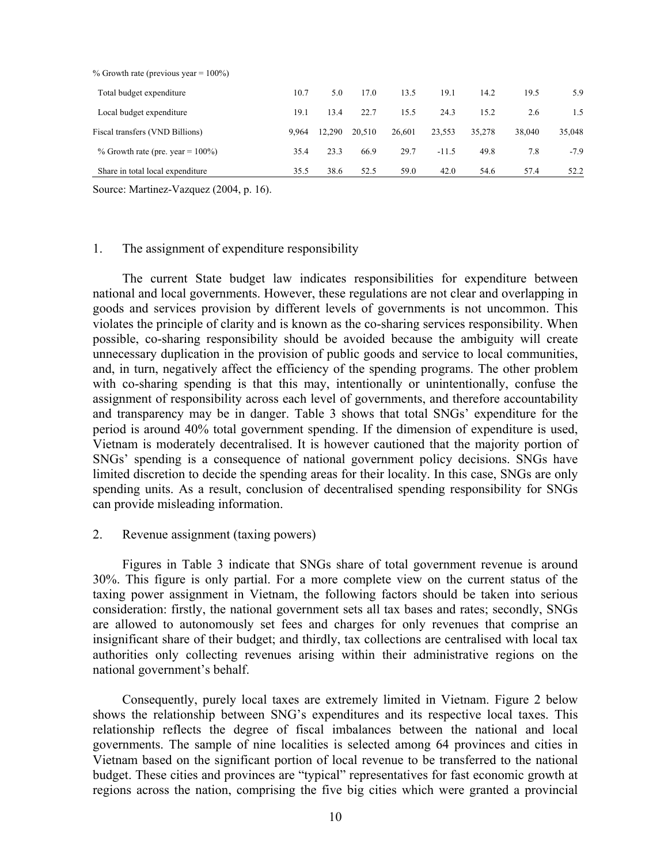| $\%$ Growth rate (previous year $= 100\%$ ) |       |        |        |        |         |        |        |        |
|---------------------------------------------|-------|--------|--------|--------|---------|--------|--------|--------|
| Total budget expenditure                    | 10.7  | 5.0    | 17.0   | 13.5   | 19.1    | 14.2   | 19.5   | 5.9    |
| Local budget expenditure                    | 19.1  | 13.4   | 22.7   | 15.5   | 24.3    | 15.2   | 2.6    | 1.5    |
| Fiscal transfers (VND Billions)             | 9.964 | 12.290 | 20.510 | 26.601 | 23,553  | 35,278 | 38,040 | 35,048 |
| % Growth rate (pre. year = $100\%$ )        | 35.4  | 23.3   | 66.9   | 29.7   | $-11.5$ | 49.8   | 7.8    | $-7.9$ |
| Share in total local expenditure            | 35.5  | 38.6   | 52.5   | 59.0   | 42.0    | 54.6   | 57.4   | 52.2   |

 $\frac{10}{2}$  Growth rate (previous year =  $\frac{1000}{2}$ )

Source: Martinez-Vazquez (2004, p. 16).

## 1. The assignment of expenditure responsibility

The current State budget law indicates responsibilities for expenditure between national and local governments. However, these regulations are not clear and overlapping in goods and services provision by different levels of governments is not uncommon. This violates the principle of clarity and is known as the co-sharing services responsibility. When possible, co-sharing responsibility should be avoided because the ambiguity will create unnecessary duplication in the provision of public goods and service to local communities, and, in turn, negatively affect the efficiency of the spending programs. The other problem with co-sharing spending is that this may, intentionally or unintentionally, confuse the assignment of responsibility across each level of governments, and therefore accountability and transparency may be in danger. Table 3 shows that total SNGs' expenditure for the period is around 40% total government spending. If the dimension of expenditure is used, Vietnam is moderately decentralised. It is however cautioned that the majority portion of SNGs' spending is a consequence of national government policy decisions. SNGs have limited discretion to decide the spending areas for their locality. In this case, SNGs are only spending units. As a result, conclusion of decentralised spending responsibility for SNGs can provide misleading information.

# 2. Revenue assignment (taxing powers)

Figures in Table 3 indicate that SNGs share of total government revenue is around 30%. This figure is only partial. For a more complete view on the current status of the taxing power assignment in Vietnam, the following factors should be taken into serious consideration: firstly, the national government sets all tax bases and rates; secondly, SNGs are allowed to autonomously set fees and charges for only revenues that comprise an insignificant share of their budget; and thirdly, tax collections are centralised with local tax authorities only collecting revenues arising within their administrative regions on the national government's behalf.

Consequently, purely local taxes are extremely limited in Vietnam. Figure 2 below shows the relationship between SNG's expenditures and its respective local taxes. This relationship reflects the degree of fiscal imbalances between the national and local governments. The sample of nine localities is selected among 64 provinces and cities in Vietnam based on the significant portion of local revenue to be transferred to the national budget. These cities and provinces are "typical" representatives for fast economic growth at regions across the nation, comprising the five big cities which were granted a provincial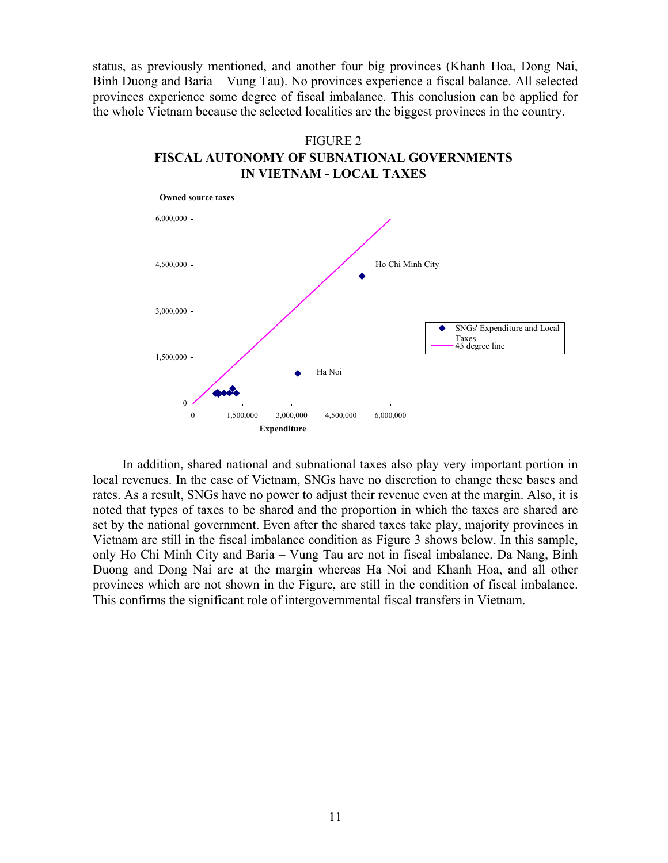status, as previously mentioned, and another four big provinces (Khanh Hoa, Dong Nai, Binh Duong and Baria – Vung Tau). No provinces experience a fiscal balance. All selected provinces experience some degree of fiscal imbalance. This conclusion can be applied for the whole Vietnam because the selected localities are the biggest provinces in the country.





In addition, shared national and subnational taxes also play very important portion in local revenues. In the case of Vietnam, SNGs have no discretion to change these bases and rates. As a result, SNGs have no power to adjust their revenue even at the margin. Also, it is noted that types of taxes to be shared and the proportion in which the taxes are shared are set by the national government. Even after the shared taxes take play, majority provinces in Vietnam are still in the fiscal imbalance condition as Figure 3 shows below. In this sample, only Ho Chi Minh City and Baria – Vung Tau are not in fiscal imbalance. Da Nang, Binh Duong and Dong Nai are at the margin whereas Ha Noi and Khanh Hoa, and all other provinces which are not shown in the Figure, are still in the condition of fiscal imbalance. This confirms the significant role of intergovernmental fiscal transfers in Vietnam.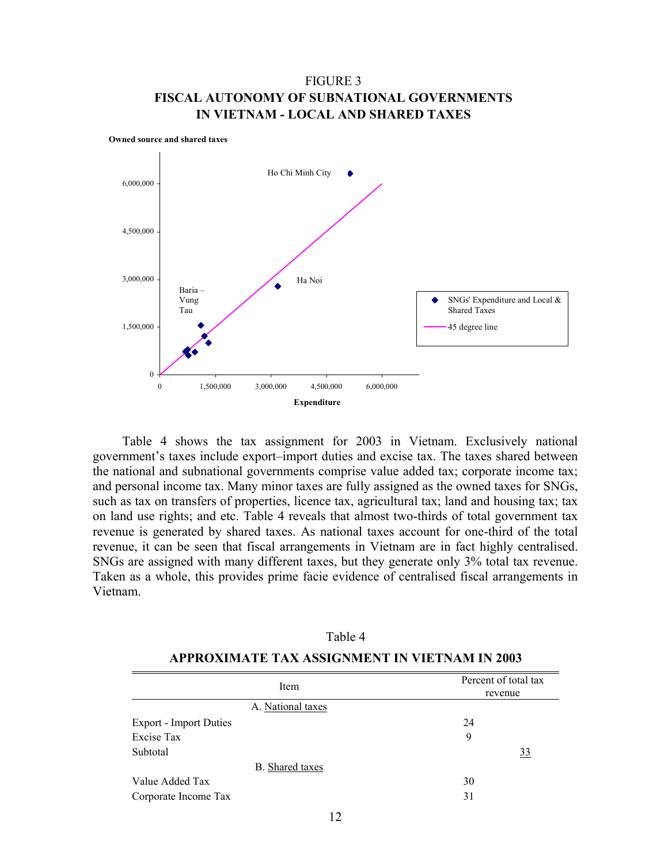# FIGURE 3 **FISCAL AUTONOMY OF SUBNATIONAL GOVERNMENTS IN VIETNAM - LOCAL AND SHARED TAXES**



Table 4 shows the tax assignment for 2003 in Vietnam. Exclusively national government's taxes include export–import duties and excise tax. The taxes shared between the national and subnational governments comprise value added tax; corporate income tax; and personal income tax. Many minor taxes are fully assigned as the owned taxes for SNGs, such as tax on transfers of properties, licence tax, agricultural tax; land and housing tax; tax on land use rights; and etc. Table 4 reveals that almost two-thirds of total government tax revenue is generated by shared taxes. As national taxes account for one-third of the total revenue, it can be seen that fiscal arrangements in Vietnam are in fact highly centralised. SNGs are assigned with many different taxes, but they generate only 3% total tax revenue. Taken as a whole, this provides prime facie evidence of centralised fiscal arrangements in Vietnam.

| Item                          | Percent of total tax<br>revenue |
|-------------------------------|---------------------------------|
| A. National taxes             |                                 |
| <b>Export - Import Duties</b> | 24                              |
| Excise Tax                    | 9                               |
| Subtotal                      | 33                              |
| <b>B.</b> Shared taxes        |                                 |
| Value Added Tax               | 30                              |
| Corporate Income Tax          | 31                              |

# **APPROXIMATE TAX ASSIGNMENT IN VIETNAM IN 2003**

Table 4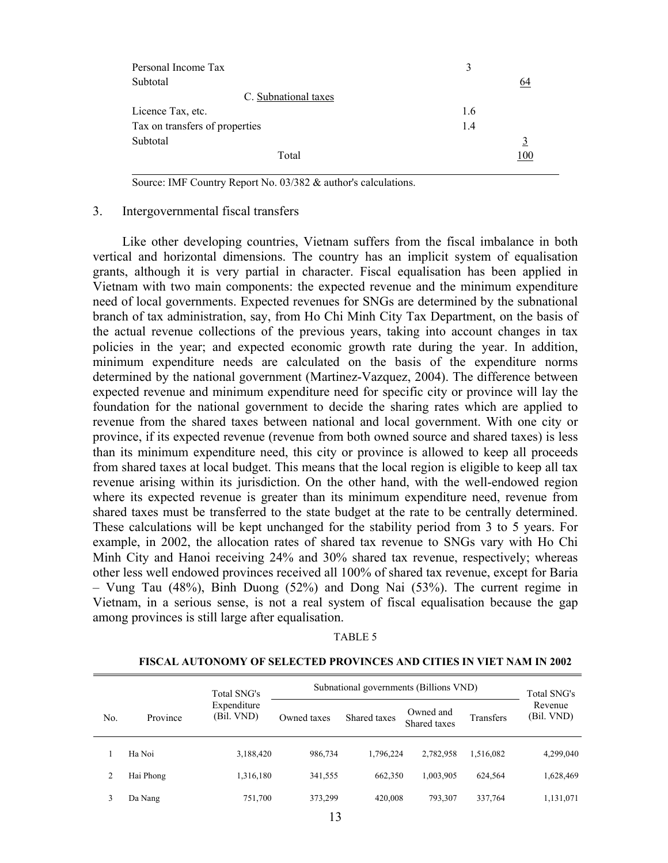| Personal Income Tax            | 3   |
|--------------------------------|-----|
| Subtotal                       | 64  |
| C. Subnational taxes           |     |
| Licence Tax, etc.              | 1.6 |
| Tax on transfers of properties | 1.4 |
| Subtotal                       | 3   |
| Total                          | 100 |

Source: IMF Country Report No. 03/382 & author's calculations.

## 3. Intergovernmental fiscal transfers

Like other developing countries, Vietnam suffers from the fiscal imbalance in both vertical and horizontal dimensions. The country has an implicit system of equalisation grants, although it is very partial in character. Fiscal equalisation has been applied in Vietnam with two main components: the expected revenue and the minimum expenditure need of local governments. Expected revenues for SNGs are determined by the subnational branch of tax administration, say, from Ho Chi Minh City Tax Department, on the basis of the actual revenue collections of the previous years, taking into account changes in tax policies in the year; and expected economic growth rate during the year. In addition, minimum expenditure needs are calculated on the basis of the expenditure norms determined by the national government (Martinez-Vazquez, 2004). The difference between expected revenue and minimum expenditure need for specific city or province will lay the foundation for the national government to decide the sharing rates which are applied to revenue from the shared taxes between national and local government. With one city or province, if its expected revenue (revenue from both owned source and shared taxes) is less than its minimum expenditure need, this city or province is allowed to keep all proceeds from shared taxes at local budget. This means that the local region is eligible to keep all tax revenue arising within its jurisdiction. On the other hand, with the well-endowed region where its expected revenue is greater than its minimum expenditure need, revenue from shared taxes must be transferred to the state budget at the rate to be centrally determined. These calculations will be kept unchanged for the stability period from 3 to 5 years. For example, in 2002, the allocation rates of shared tax revenue to SNGs vary with Ho Chi Minh City and Hanoi receiving 24% and 30% shared tax revenue, respectively; whereas other less well endowed provinces received all 100% of shared tax revenue, except for Baria – Vung Tau (48%), Binh Duong (52%) and Dong Nai (53%). The current regime in Vietnam, in a serious sense, is not a real system of fiscal equalisation because the gap among provinces is still large after equalisation.

#### TABLE 5

#### **FISCAL AUTONOMY OF SELECTED PROVINCES AND CITIES IN VIET NAM IN 2002**

|     |           | Total SNG's               |             | Subnational governments (Billions VND) |                           |           | Total SNG's           |
|-----|-----------|---------------------------|-------------|----------------------------------------|---------------------------|-----------|-----------------------|
| No. | Province  | Expenditure<br>(Bil. VND) | Owned taxes | Shared taxes                           | Owned and<br>Shared taxes | Transfers | Revenue<br>(Bil. VND) |
|     | Ha Noi    | 3,188,420                 | 986,734     | 1,796,224                              | 2,782,958                 | 1,516,082 | 4,299,040             |
|     | Hai Phong | 1,316,180                 | 341,555     | 662,350                                | 1,003,905                 | 624,564   | 1,628,469             |
| 3   | Da Nang   | 751,700                   | 373,299     | 420,008                                | 793,307                   | 337,764   | 1,131,071             |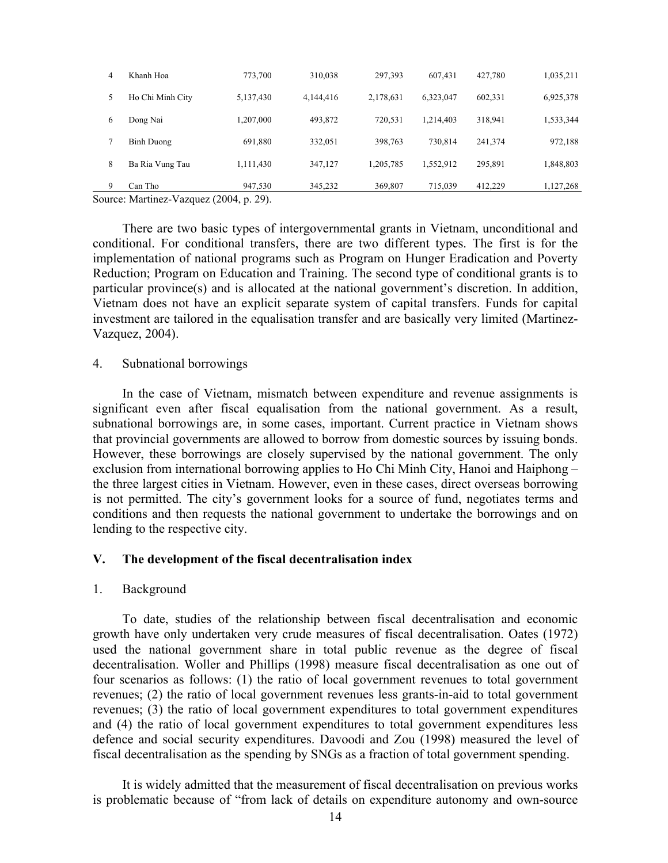| 9 | Can Tho          | 947,530   | 345,232   | 369,807   | 715,039   | 412,229 | 1,127,268 |
|---|------------------|-----------|-----------|-----------|-----------|---------|-----------|
| 8 | Ba Ria Vung Tau  | 1,111,430 | 347,127   | 1,205,785 | 1,552,912 | 295,891 | 1,848,803 |
|   | Binh Duong       | 691,880   | 332,051   | 398,763   | 730.814   | 241.374 | 972,188   |
| 6 | Dong Nai         | 1,207,000 | 493,872   | 720.531   | 1.214.403 | 318.941 | 1,533,344 |
|   | Ho Chi Minh City | 5,137,430 | 4,144,416 | 2,178,631 | 6,323,047 | 602,331 | 6,925,378 |
| 4 | Khanh Hoa        | 773,700   | 310,038   | 297.393   | 607.431   | 427,780 | 1,035,211 |

Source: Martinez-Vazquez (2004, p. 29).

There are two basic types of intergovernmental grants in Vietnam, unconditional and conditional. For conditional transfers, there are two different types. The first is for the implementation of national programs such as Program on Hunger Eradication and Poverty Reduction; Program on Education and Training. The second type of conditional grants is to particular province(s) and is allocated at the national government's discretion. In addition, Vietnam does not have an explicit separate system of capital transfers. Funds for capital investment are tailored in the equalisation transfer and are basically very limited (Martinez-Vazquez, 2004).

## 4. Subnational borrowings

In the case of Vietnam, mismatch between expenditure and revenue assignments is significant even after fiscal equalisation from the national government. As a result, subnational borrowings are, in some cases, important. Current practice in Vietnam shows that provincial governments are allowed to borrow from domestic sources by issuing bonds. However, these borrowings are closely supervised by the national government. The only exclusion from international borrowing applies to Ho Chi Minh City, Hanoi and Haiphong – the three largest cities in Vietnam. However, even in these cases, direct overseas borrowing is not permitted. The city's government looks for a source of fund, negotiates terms and conditions and then requests the national government to undertake the borrowings and on lending to the respective city.

## **V. The development of the fiscal decentralisation index**

## 1. Background

To date, studies of the relationship between fiscal decentralisation and economic growth have only undertaken very crude measures of fiscal decentralisation. Oates (1972) used the national government share in total public revenue as the degree of fiscal decentralisation. Woller and Phillips (1998) measure fiscal decentralisation as one out of four scenarios as follows: (1) the ratio of local government revenues to total government revenues; (2) the ratio of local government revenues less grants-in-aid to total government revenues; (3) the ratio of local government expenditures to total government expenditures and (4) the ratio of local government expenditures to total government expenditures less defence and social security expenditures. Davoodi and Zou (1998) measured the level of fiscal decentralisation as the spending by SNGs as a fraction of total government spending.

It is widely admitted that the measurement of fiscal decentralisation on previous works is problematic because of "from lack of details on expenditure autonomy and own-source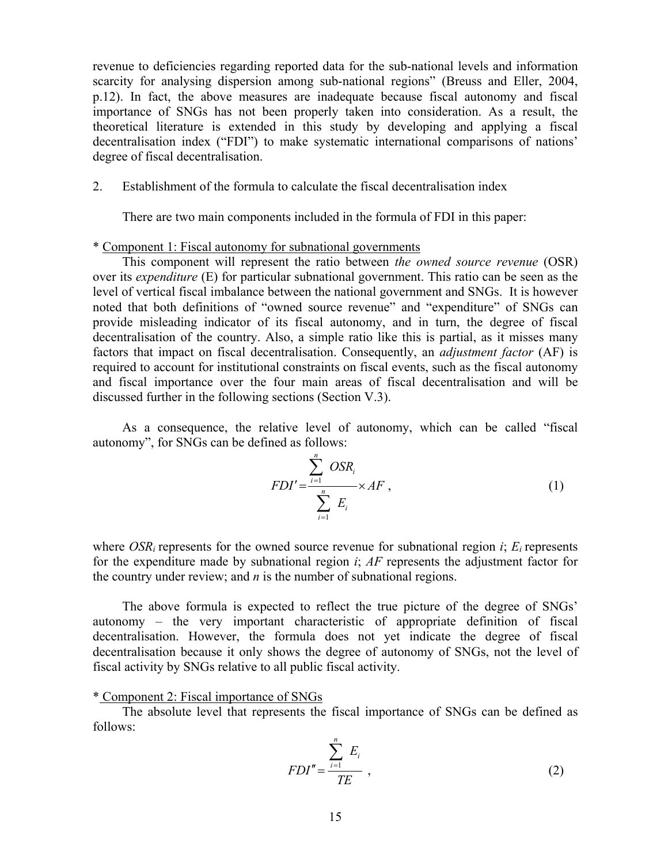revenue to deficiencies regarding reported data for the sub-national levels and information scarcity for analysing dispersion among sub-national regions" (Breuss and Eller, 2004, p.12). In fact, the above measures are inadequate because fiscal autonomy and fiscal importance of SNGs has not been properly taken into consideration. As a result, the theoretical literature is extended in this study by developing and applying a fiscal decentralisation index ("FDI") to make systematic international comparisons of nations' degree of fiscal decentralisation.

# 2. Establishment of the formula to calculate the fiscal decentralisation index

There are two main components included in the formula of FDI in this paper:

### \* Component 1: Fiscal autonomy for subnational governments

This component will represent the ratio between *the owned source revenue* (OSR) over its *expenditure* (E) for particular subnational government. This ratio can be seen as the level of vertical fiscal imbalance between the national government and SNGs. It is however noted that both definitions of "owned source revenue" and "expenditure" of SNGs can provide misleading indicator of its fiscal autonomy, and in turn, the degree of fiscal decentralisation of the country. Also, a simple ratio like this is partial, as it misses many factors that impact on fiscal decentralisation. Consequently, an *adjustment factor* (AF) is required to account for institutional constraints on fiscal events, such as the fiscal autonomy and fiscal importance over the four main areas of fiscal decentralisation and will be discussed further in the following sections (Section V.3).

As a consequence, the relative level of autonomy, which can be called "fiscal autonomy", for SNGs can be defined as follows:

$$
FDI' = \frac{\sum_{i=1}^{n} OSR_i}{\sum_{i=1}^{n} E_i} \times AF , \qquad (1)
$$

where *OSR<sub>i</sub>* represents for the owned source revenue for subnational region *i*;  $E_i$  represents for the expenditure made by subnational region *i*; *AF* represents the adjustment factor for the country under review; and *n* is the number of subnational regions.

The above formula is expected to reflect the true picture of the degree of SNGs' autonomy – the very important characteristic of appropriate definition of fiscal decentralisation. However, the formula does not yet indicate the degree of fiscal decentralisation because it only shows the degree of autonomy of SNGs, not the level of fiscal activity by SNGs relative to all public fiscal activity.

# \* Component 2: Fiscal importance of SNGs

The absolute level that represents the fiscal importance of SNGs can be defined as follows:

$$
FDI'' = \frac{\sum_{i=1}^{n} E_i}{TE} , \qquad (2)
$$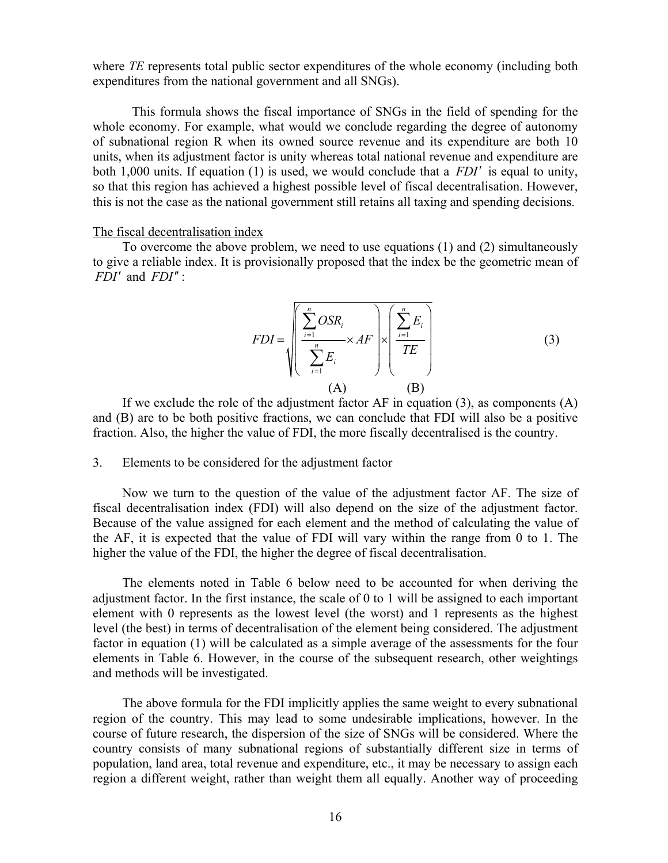where *TE* represents total public sector expenditures of the whole economy (including both expenditures from the national government and all SNGs).

 This formula shows the fiscal importance of SNGs in the field of spending for the whole economy. For example, what would we conclude regarding the degree of autonomy of subnational region R when its owned source revenue and its expenditure are both 10 units, when its adjustment factor is unity whereas total national revenue and expenditure are both 1,000 units. If equation (1) is used, we would conclude that a *FDI*′ is equal to unity, so that this region has achieved a highest possible level of fiscal decentralisation. However, this is not the case as the national government still retains all taxing and spending decisions.

### The fiscal decentralisation index

To overcome the above problem, we need to use equations (1) and (2) simultaneously to give a reliable index. It is provisionally proposed that the index be the geometric mean of *FDI*′ and *FDI*′′ :

$$
FDI = \sqrt{\left(\frac{\sum_{i=1}^{n} OSR_i}{\sum_{i=1}^{n} E_i} \times AF\right) \times \left(\frac{\sum_{i=1}^{n} E_i}{TE}\right)}
$$
(3)  
(A) (B)

If we exclude the role of the adjustment factor  $AF$  in equation (3), as components  $(A)$ and (B) are to be both positive fractions, we can conclude that FDI will also be a positive fraction. Also, the higher the value of FDI, the more fiscally decentralised is the country.

### 3. Elements to be considered for the adjustment factor

Now we turn to the question of the value of the adjustment factor AF. The size of fiscal decentralisation index (FDI) will also depend on the size of the adjustment factor. Because of the value assigned for each element and the method of calculating the value of the AF, it is expected that the value of FDI will vary within the range from 0 to 1. The higher the value of the FDI, the higher the degree of fiscal decentralisation.

The elements noted in Table 6 below need to be accounted for when deriving the adjustment factor. In the first instance, the scale of 0 to 1 will be assigned to each important element with 0 represents as the lowest level (the worst) and 1 represents as the highest level (the best) in terms of decentralisation of the element being considered. The adjustment factor in equation (1) will be calculated as a simple average of the assessments for the four elements in Table 6. However, in the course of the subsequent research, other weightings and methods will be investigated.

The above formula for the FDI implicitly applies the same weight to every subnational region of the country. This may lead to some undesirable implications, however. In the course of future research, the dispersion of the size of SNGs will be considered. Where the country consists of many subnational regions of substantially different size in terms of population, land area, total revenue and expenditure, etc., it may be necessary to assign each region a different weight, rather than weight them all equally. Another way of proceeding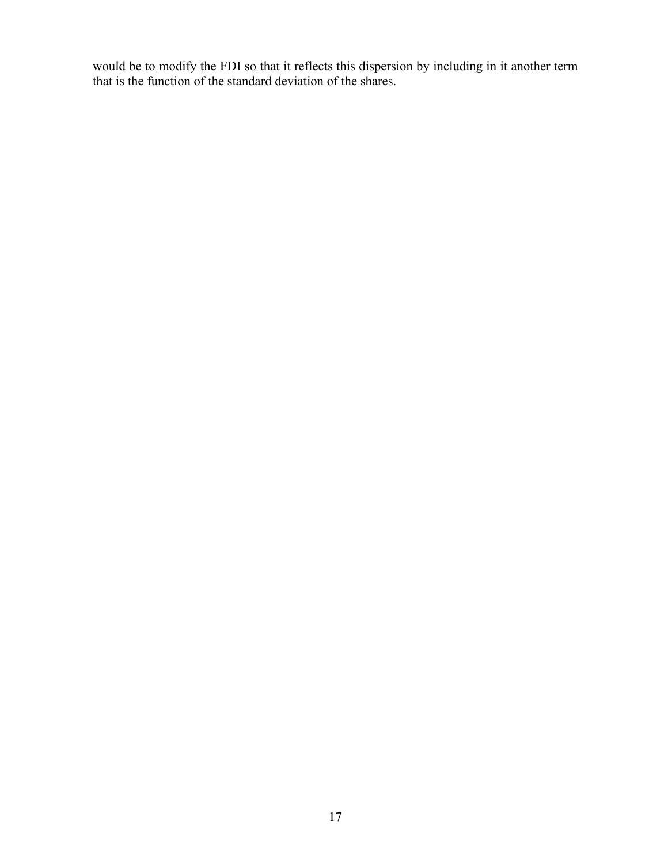would be to modify the FDI so that it reflects this dispersion by including in it another term that is the function of the standard deviation of the shares.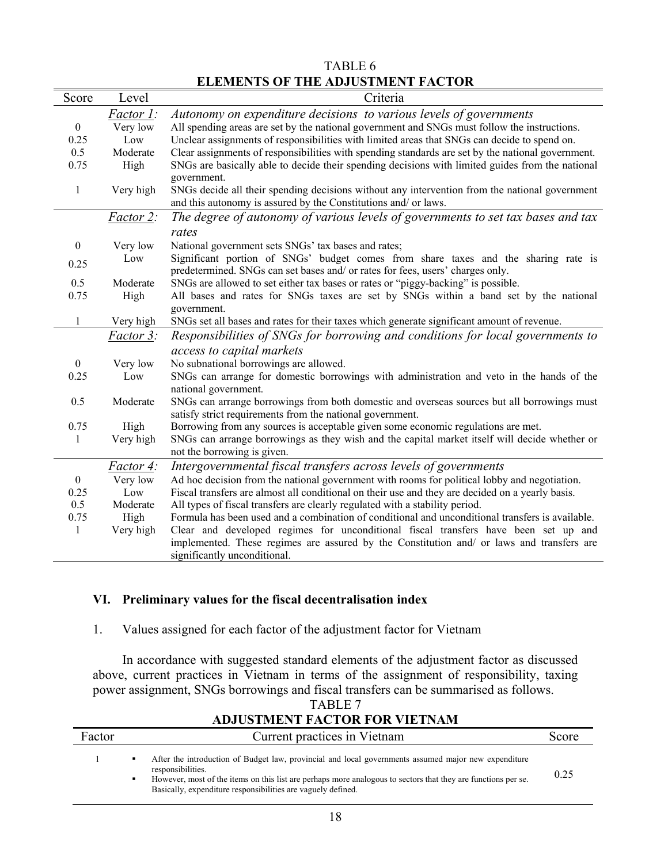|                                          | TABLE 6 |  |
|------------------------------------------|---------|--|
| <b>ELEMENTS OF THE ADJUSTMENT FACTOR</b> |         |  |

| Score            | Level            | Criteria                                                                                          |
|------------------|------------------|---------------------------------------------------------------------------------------------------|
|                  | <i>Factor 1:</i> | Autonomy on expenditure decisions to various levels of governments                                |
| $\boldsymbol{0}$ | Very low         | All spending areas are set by the national government and SNGs must follow the instructions.      |
| 0.25             | Low              | Unclear assignments of responsibilities with limited areas that SNGs can decide to spend on.      |
| 0.5              | Moderate         | Clear assignments of responsibilities with spending standards are set by the national government. |
| 0.75             | High             | SNGs are basically able to decide their spending decisions with limited guides from the national  |
|                  |                  | government.                                                                                       |
| $\mathbf{1}$     | Very high        | SNGs decide all their spending decisions without any intervention from the national government    |
|                  |                  | and this autonomy is assured by the Constitutions and/ or laws.                                   |
|                  | <i>Factor 2:</i> | The degree of autonomy of various levels of governments to set tax bases and tax                  |
|                  |                  | rates                                                                                             |
| $\boldsymbol{0}$ | Very low         | National government sets SNGs' tax bases and rates;                                               |
| 0.25             | Low              | Significant portion of SNGs' budget comes from share taxes and the sharing rate is                |
|                  |                  | predetermined. SNGs can set bases and/ or rates for fees, users' charges only.                    |
| 0.5              | Moderate         | SNGs are allowed to set either tax bases or rates or "piggy-backing" is possible.                 |
| 0.75             | High             | All bases and rates for SNGs taxes are set by SNGs within a band set by the national              |
|                  |                  | government.                                                                                       |
| $\mathbf{1}$     | Very high        | SNGs set all bases and rates for their taxes which generate significant amount of revenue.        |
|                  | <i>Factor 3:</i> | Responsibilities of SNGs for borrowing and conditions for local governments to                    |
|                  |                  | access to capital markets                                                                         |
| $\boldsymbol{0}$ | Very low         | No subnational borrowings are allowed.                                                            |
| 0.25             | Low              | SNGs can arrange for domestic borrowings with administration and veto in the hands of the         |
|                  |                  | national government.                                                                              |
| 0.5              | Moderate         | SNGs can arrange borrowings from both domestic and overseas sources but all borrowings must       |
|                  |                  | satisfy strict requirements from the national government.                                         |
| 0.75             | High             | Borrowing from any sources is acceptable given some economic regulations are met.                 |
| 1                | Very high        | SNGs can arrange borrowings as they wish and the capital market itself will decide whether or     |
|                  |                  | not the borrowing is given.                                                                       |
|                  | <i>Factor 4:</i> | Intergovernmental fiscal transfers across levels of governments                                   |
| $\boldsymbol{0}$ | Very low         | Ad hoc decision from the national government with rooms for political lobby and negotiation.      |
| 0.25             | Low              | Fiscal transfers are almost all conditional on their use and they are decided on a yearly basis.  |
| 0.5              | Moderate         | All types of fiscal transfers are clearly regulated with a stability period.                      |
| 0.75             | High             | Formula has been used and a combination of conditional and unconditional transfers is available.  |
| $\mathbf{1}$     | Very high        | Clear and developed regimes for unconditional fiscal transfers have been set up and               |
|                  |                  | implemented. These regimes are assured by the Constitution and/ or laws and transfers are         |
|                  |                  | significantly unconditional.                                                                      |

# **VI. Preliminary values for the fiscal decentralisation index**

# 1. Values assigned for each factor of the adjustment factor for Vietnam

In accordance with suggested standard elements of the adjustment factor as discussed above, current practices in Vietnam in terms of the assignment of responsibility, taxing power assignment, SNGs borrowings and fiscal transfers can be summarised as follows.

| ADJUSTNIENT FAUTUK FÜR VIETNAM |                                                                                                                                                                                                                                                                                                                 |       |  |  |  |  |  |  |
|--------------------------------|-----------------------------------------------------------------------------------------------------------------------------------------------------------------------------------------------------------------------------------------------------------------------------------------------------------------|-------|--|--|--|--|--|--|
| Factor                         | Current practices in Vietnam                                                                                                                                                                                                                                                                                    | Score |  |  |  |  |  |  |
|                                | After the introduction of Budget law, provincial and local governments assumed major new expenditure<br>٠<br>responsibilities.<br>However, most of the items on this list are perhaps more analogous to sectors that they are functions per se.<br>Basically, expenditure responsibilities are vaguely defined. | 0.25  |  |  |  |  |  |  |

# TABLE 7 **ADJUSTMENT FACTOR FOR VIETNAM**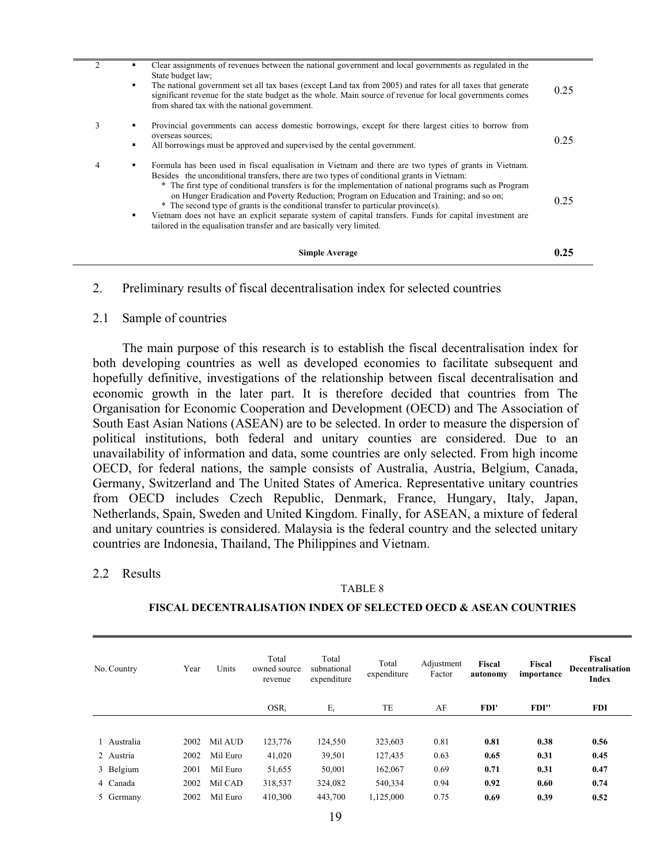|                | <b>Simple Average</b>                                                                                                                                                                                                                                                                                                                                                                                                                                                                                                                                                                                                                                                                              | 0.25 |
|----------------|----------------------------------------------------------------------------------------------------------------------------------------------------------------------------------------------------------------------------------------------------------------------------------------------------------------------------------------------------------------------------------------------------------------------------------------------------------------------------------------------------------------------------------------------------------------------------------------------------------------------------------------------------------------------------------------------------|------|
| 4              | Formula has been used in fiscal equalisation in Vietnam and there are two types of grants in Vietnam.<br>٠<br>Besides the unconditional transfers, there are two types of conditional grants in Vietnam:<br>* The first type of conditional transfers is for the implementation of national programs such as Program<br>on Hunger Eradication and Poverty Reduction; Program on Education and Training; and so on;<br>* The second type of grants is the conditional transfer to particular province(s).<br>Vietnam does not have an explicit separate system of capital transfers. Funds for capital investment are<br>٠<br>tailored in the equalisation transfer and are basically very limited. | 0.25 |
| 3              | Provincial governments can access domestic borrowings, except for there largest cities to borrow from<br>٠<br>overseas sources;<br>All borrowings must be approved and supervised by the cental government.<br>٠                                                                                                                                                                                                                                                                                                                                                                                                                                                                                   | 0.25 |
| $\overline{2}$ | Clear assignments of revenues between the national government and local governments as regulated in the<br>State budget law;<br>The national government set all tax bases (except Land tax from 2005) and rates for all taxes that generate<br>٠<br>significant revenue for the state budget as the whole. Main source of revenue for local governments comes<br>from shared tax with the national government.                                                                                                                                                                                                                                                                                     | 0.25 |

2. Preliminary results of fiscal decentralisation index for selected countries

### 2.1 Sample of countries

The main purpose of this research is to establish the fiscal decentralisation index for both developing countries as well as developed economies to facilitate subsequent and hopefully definitive, investigations of the relationship between fiscal decentralisation and economic growth in the later part. It is therefore decided that countries from The Organisation for Economic Cooperation and Development (OECD) and The Association of South East Asian Nations (ASEAN) are to be selected. In order to measure the dispersion of political institutions, both federal and unitary counties are considered. Due to an unavailability of information and data, some countries are only selected. From high income OECD, for federal nations, the sample consists of Australia, Austria, Belgium, Canada, Germany, Switzerland and The United States of America. Representative unitary countries from OECD includes Czech Republic, Denmark, France, Hungary, Italy, Japan, Netherlands, Spain, Sweden and United Kingdom. Finally, for ASEAN, a mixture of federal and unitary countries is considered. Malaysia is the federal country and the selected unitary countries are Indonesia, Thailand, The Philippines and Vietnam.

### 2.2 Results

#### TABLE 8

### **FISCAL DECENTRALISATION INDEX OF SELECTED OECD & ASEAN COUNTRIES**

| No. Country | Year | Units    | Total<br>owned source<br>revenue | Total<br>subnational<br>expenditure | Total<br>expenditure | Adjustment<br>Factor | Fiscal<br>autonomy | Fiscal<br>importance | Fiscal<br><b>Decentralisation</b><br>Index |
|-------------|------|----------|----------------------------------|-------------------------------------|----------------------|----------------------|--------------------|----------------------|--------------------------------------------|
|             |      |          | $OSR_i$                          | $E_i$                               | TE                   | AF                   | FDI'               | FDI''                | FDI                                        |
|             |      |          |                                  |                                     |                      |                      |                    |                      |                                            |
| Australia   | 2002 | Mil AUD  | 123,776                          | 124,550                             | 323,603              | 0.81                 | 0.81               | 0.38                 | 0.56                                       |
| 2 Austria   | 2002 | Mil Euro | 41,020                           | 39,501                              | 127,435              | 0.63                 | 0.65               | 0.31                 | 0.45                                       |
| 3 Belgium   | 2001 | Mil Euro | 51,655                           | 50,001                              | 162,067              | 0.69                 | 0.71               | 0.31                 | 0.47                                       |
| 4 Canada    | 2002 | Mil CAD  | 318,537                          | 324,082                             | 540,334              | 0.94                 | 0.92               | 0.60                 | 0.74                                       |
| 5 Germany   | 2002 | Mil Euro | 410,300                          | 443,700                             | 1,125,000            | 0.75                 | 0.69               | 0.39                 | 0.52                                       |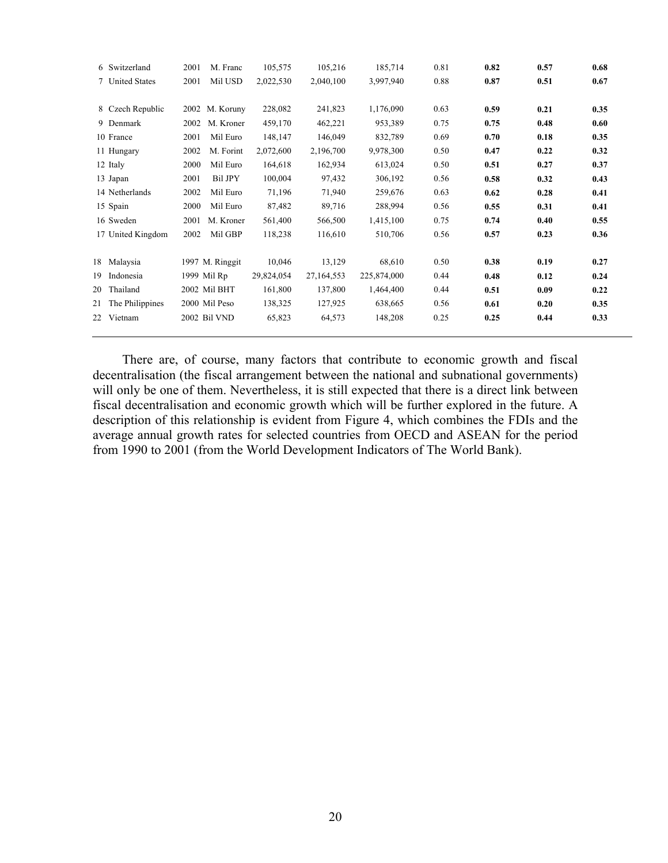| 6 Switzerland         | M. Franc<br>2001       | 105,575    | 105,216      | 185,714     | 0.81 | 0.82 | 0.57 | 0.68 |
|-----------------------|------------------------|------------|--------------|-------------|------|------|------|------|
| 7 United States       | 2001<br>Mil USD        | 2,022,530  | 2,040,100    | 3,997,940   | 0.88 | 0.87 | 0.51 | 0.67 |
|                       |                        |            |              |             |      |      |      |      |
| 8 Czech Republic      | 2002<br>M. Koruny      | 228,082    | 241,823      | 1,176,090   | 0.63 | 0.59 | 0.21 | 0.35 |
| 9 Denmark             | 2002<br>M. Kroner      | 459,170    | 462,221      | 953,389     | 0.75 | 0.75 | 0.48 | 0.60 |
| 10 France             | 2001<br>Mil Euro       | 148,147    | 146,049      | 832,789     | 0.69 | 0.70 | 0.18 | 0.35 |
| 11 Hungary            | 2002<br>M. Forint      | 2,072,600  | 2,196,700    | 9,978,300   | 0.50 | 0.47 | 0.22 | 0.32 |
| 12 Italy              | Mil Euro<br>2000       | 164,618    | 162,934      | 613,024     | 0.50 | 0.51 | 0.27 | 0.37 |
| 13 Japan              | <b>Bil JPY</b><br>2001 | 100,004    | 97,432       | 306,192     | 0.56 | 0.58 | 0.32 | 0.43 |
| 14 Netherlands        | 2002<br>Mil Euro       | 71,196     | 71,940       | 259,676     | 0.63 | 0.62 | 0.28 | 0.41 |
| 15 Spain              | 2000<br>Mil Euro       | 87,482     | 89,716       | 288,994     | 0.56 | 0.55 | 0.31 | 0.41 |
| 16 Sweden             | 2001<br>M. Kroner      | 561,400    | 566,500      | 1,415,100   | 0.75 | 0.74 | 0.40 | 0.55 |
| 17 United Kingdom     | 2002<br>Mil GBP        | 118,238    | 116,610      | 510,706     | 0.56 | 0.57 | 0.23 | 0.36 |
|                       |                        |            |              |             |      |      |      |      |
| 18 Malaysia           | 1997 M. Ringgit        | 10,046     | 13,129       | 68,610      | 0.50 | 0.38 | 0.19 | 0.27 |
| 19.<br>Indonesia      | 1999 Mil Rp            | 29,824,054 | 27, 164, 553 | 225,874,000 | 0.44 | 0.48 | 0.12 | 0.24 |
| Thailand<br>20        | 2002 Mil BHT           | 161,800    | 137,800      | 1,464,400   | 0.44 | 0.51 | 0.09 | 0.22 |
| The Philippines<br>21 | 2000 Mil Peso          | 138,325    | 127,925      | 638,665     | 0.56 | 0.61 | 0.20 | 0.35 |
| 22.<br>Vietnam        | 2002 Bil VND           | 65,823     | 64,573       | 148,208     | 0.25 | 0.25 | 0.44 | 0.33 |
|                       |                        |            |              |             |      |      |      |      |

There are, of course, many factors that contribute to economic growth and fiscal decentralisation (the fiscal arrangement between the national and subnational governments) will only be one of them. Nevertheless, it is still expected that there is a direct link between fiscal decentralisation and economic growth which will be further explored in the future. A description of this relationship is evident from Figure 4, which combines the FDIs and the average annual growth rates for selected countries from OECD and ASEAN for the period from 1990 to 2001 (from the World Development Indicators of The World Bank).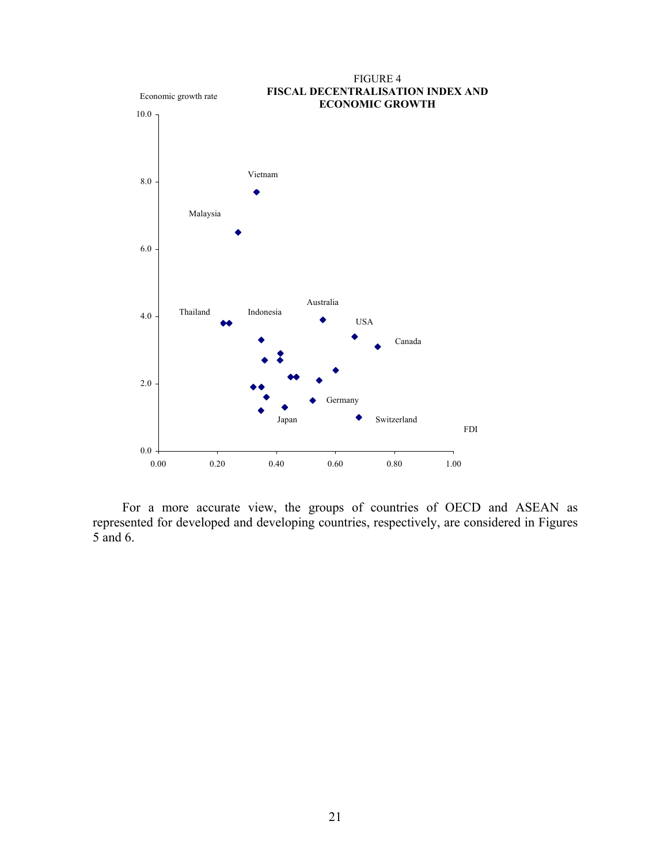

For a more accurate view, the groups of countries of OECD and ASEAN as represented for developed and developing countries, respectively, are considered in Figures 5 and 6.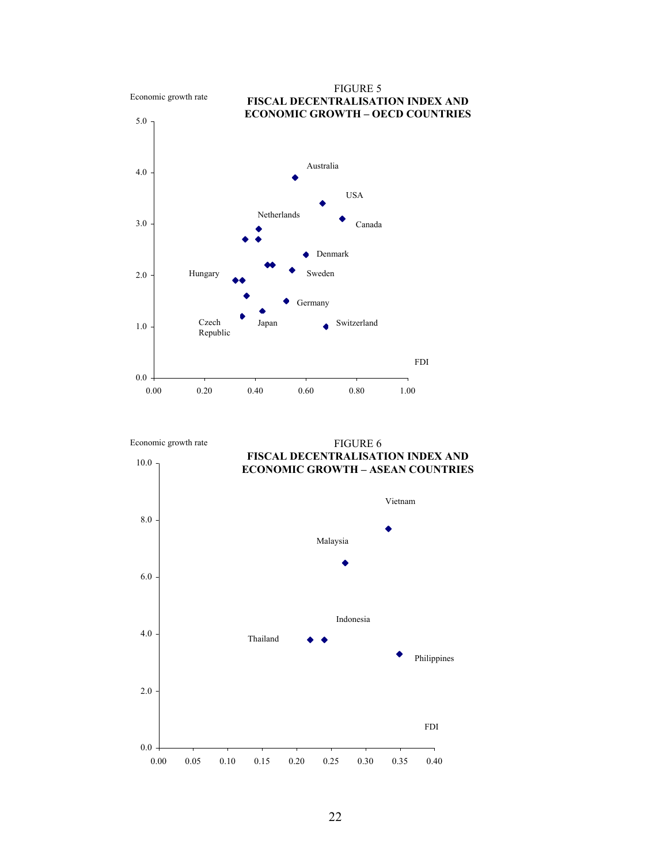

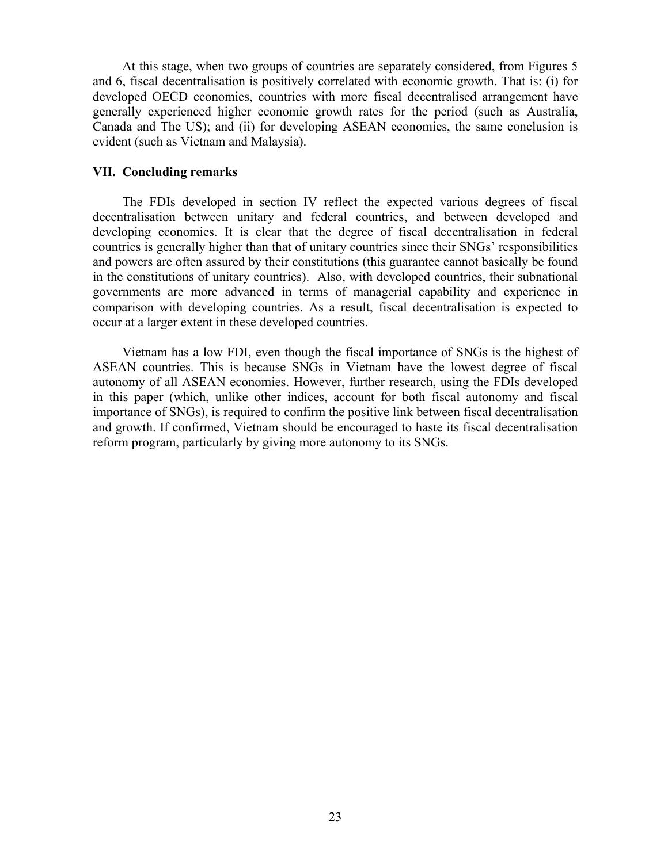At this stage, when two groups of countries are separately considered, from Figures 5 and 6, fiscal decentralisation is positively correlated with economic growth. That is: (i) for developed OECD economies, countries with more fiscal decentralised arrangement have generally experienced higher economic growth rates for the period (such as Australia, Canada and The US); and (ii) for developing ASEAN economies, the same conclusion is evident (such as Vietnam and Malaysia).

### **VII. Concluding remarks**

The FDIs developed in section IV reflect the expected various degrees of fiscal decentralisation between unitary and federal countries, and between developed and developing economies. It is clear that the degree of fiscal decentralisation in federal countries is generally higher than that of unitary countries since their SNGs' responsibilities and powers are often assured by their constitutions (this guarantee cannot basically be found in the constitutions of unitary countries). Also, with developed countries, their subnational governments are more advanced in terms of managerial capability and experience in comparison with developing countries. As a result, fiscal decentralisation is expected to occur at a larger extent in these developed countries.

Vietnam has a low FDI, even though the fiscal importance of SNGs is the highest of ASEAN countries. This is because SNGs in Vietnam have the lowest degree of fiscal autonomy of all ASEAN economies. However, further research, using the FDIs developed in this paper (which, unlike other indices, account for both fiscal autonomy and fiscal importance of SNGs), is required to confirm the positive link between fiscal decentralisation and growth. If confirmed, Vietnam should be encouraged to haste its fiscal decentralisation reform program, particularly by giving more autonomy to its SNGs.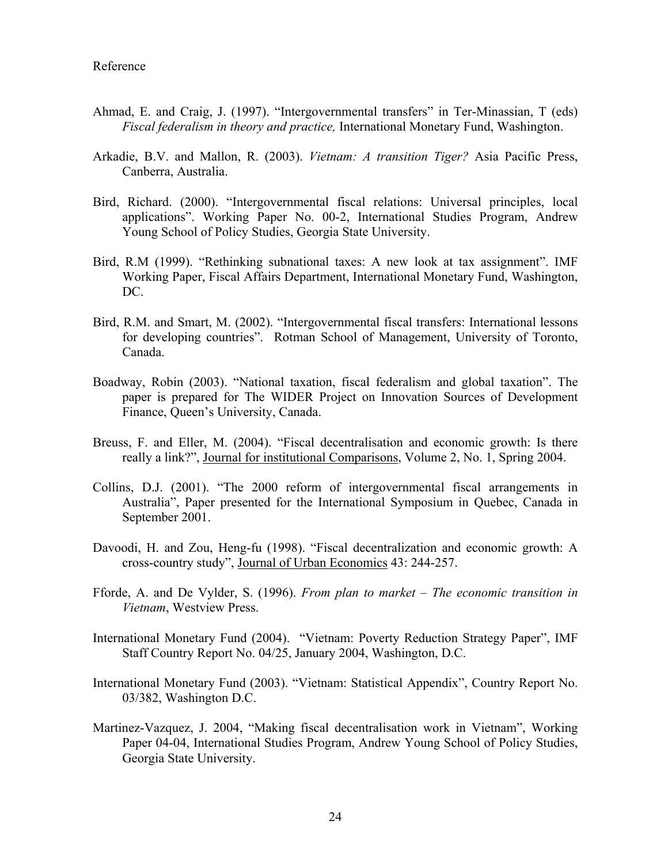- Ahmad, E. and Craig, J. (1997). "Intergovernmental transfers" in Ter-Minassian, T (eds) *Fiscal federalism in theory and practice,* International Monetary Fund, Washington.
- Arkadie, B.V. and Mallon, R. (2003). *Vietnam: A transition Tiger?* Asia Pacific Press, Canberra, Australia.
- Bird, Richard. (2000). "Intergovernmental fiscal relations: Universal principles, local applications". Working Paper No. 00-2, International Studies Program, Andrew Young School of Policy Studies, Georgia State University.
- Bird, R.M (1999). "Rethinking subnational taxes: A new look at tax assignment". IMF Working Paper, Fiscal Affairs Department, International Monetary Fund, Washington, DC.
- Bird, R.M. and Smart, M. (2002). "Intergovernmental fiscal transfers: International lessons for developing countries". Rotman School of Management, University of Toronto, Canada.
- Boadway, Robin (2003). "National taxation, fiscal federalism and global taxation". The paper is prepared for The WIDER Project on Innovation Sources of Development Finance, Queen's University, Canada.
- Breuss, F. and Eller, M. (2004). "Fiscal decentralisation and economic growth: Is there really a link?", Journal for institutional Comparisons, Volume 2, No. 1, Spring 2004.
- Collins, D.J. (2001). "The 2000 reform of intergovernmental fiscal arrangements in Australia", Paper presented for the International Symposium in Quebec, Canada in September 2001.
- Davoodi, H. and Zou, Heng-fu (1998). "Fiscal decentralization and economic growth: A cross-country study", Journal of Urban Economics 43: 244-257.
- Fforde, A. and De Vylder, S. (1996). *From plan to market The economic transition in Vietnam*, Westview Press.
- International Monetary Fund (2004). "Vietnam: Poverty Reduction Strategy Paper", IMF Staff Country Report No. 04/25, January 2004, Washington, D.C.
- International Monetary Fund (2003). "Vietnam: Statistical Appendix", Country Report No. 03/382, Washington D.C.
- Martinez-Vazquez, J. 2004, "Making fiscal decentralisation work in Vietnam", Working Paper 04-04, International Studies Program, Andrew Young School of Policy Studies, Georgia State University.